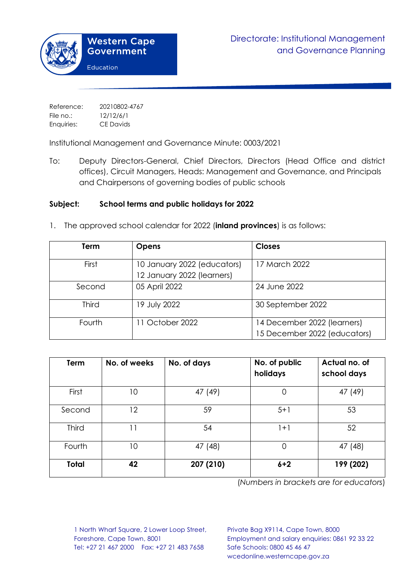Reference: 20210802-4767 File no.: 12/12/6/1 Enquiries: CE Davids

Institutional Management and Governance Minute: 0003/2021

To: Deputy Directors-General, Chief Directors, Directors (Head Office and district offices), Circuit Managers, Heads: Management and Governance, and Principals and Chairpersons of governing bodies of public schools

## **Subject: School terms and public holidays for 2022**

| Term         | <b>Opens</b>                | <b>Closes</b>                |
|--------------|-----------------------------|------------------------------|
|              |                             |                              |
| First        | 10 January 2022 (educators) | 17 March 2022                |
|              | 12 January 2022 (learners)  |                              |
| Second       | 05 April 2022               | 24 June 2022                 |
|              |                             |                              |
| <b>Third</b> | 19 July 2022                | 30 September 2022            |
|              |                             |                              |
| Fourth       | 11 October 2022             | 14 December 2022 (learners)  |
|              |                             | 15 December 2022 (educators) |

1. The approved school calendar for 2022 (**inland provinces**) is as follows:

| Term         | No. of weeks | No. of days | No. of public<br>holidays | Actual no. of<br>school days |
|--------------|--------------|-------------|---------------------------|------------------------------|
| First        | 10           | 47 (49)     | 0                         | 47 (49)                      |
| Second       | 12           | 59          | $5 + 1$                   | 53                           |
| <b>Third</b> | 11           | 54          | $1+1$                     | 52                           |
| Fourth       | 10           | 47 (48)     | 0                         | 47 (48)                      |
| <b>Total</b> | 42           | 207 (210)   | $6 + 2$                   | 199 (202)                    |

(*Numbers in brackets are for educators*)

1 North Wharf Square, 2 Lower Loop Street, Private Bag X9114, Cape Town, 8000 Tel: +27 21 467 2000 Fax: +27 21 483 7658 Safe Schools: 0800 45 46 47

Foreshore, Cape Town, 8001 Employment and salary enquiries: 0861 92 33 22 wcedonline.westerncape.gov.za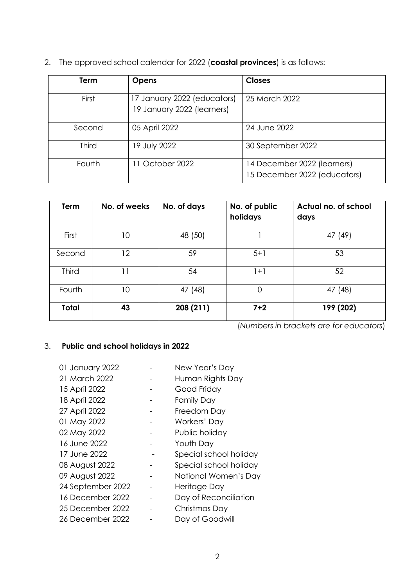2. The approved school calendar for 2022 (**coastal provinces**) is as follows:

| Term         | <b>Opens</b>                                              | <b>Closes</b>                                               |
|--------------|-----------------------------------------------------------|-------------------------------------------------------------|
| First        | 17 January 2022 (educators)<br>19 January 2022 (learners) | 25 March 2022                                               |
| Second       | 05 April 2022                                             | 24 June 2022                                                |
| <b>Third</b> | 19 July 2022                                              | 30 September 2022                                           |
| Fourth       | 11 October 2022                                           | 14 December 2022 (learners)<br>15 December 2022 (educators) |

| Term         | No. of weeks | No. of days | No. of public<br>holidays | Actual no. of school<br>days |
|--------------|--------------|-------------|---------------------------|------------------------------|
| First        | 10           | 48 (50)     |                           | 47 (49)                      |
| Second       | 12           | 59          | $5 + 1$                   | 53                           |
| <b>Third</b> | 11           | 54          | $1+1$                     | 52                           |
| Fourth       | 10           | 47 (48)     | 0                         | 47 (48)                      |
| Total        | 43           | 208 (211)   | $7 + 2$                   | 199 (202)                    |

(*Numbers in brackets are for educators*)

## 3. **Public and school holidays in 2022**

| 01 January 2022   | New Year's Day         |
|-------------------|------------------------|
| 21 March 2022     | Human Rights Day       |
| 15 April 2022     | Good Friday            |
| 18 April 2022     | <b>Family Day</b>      |
| 27 April 2022     | Freedom Day            |
| 01 May 2022       | Workers' Day           |
| 02 May 2022       | Public holiday         |
| 16 June 2022      | Youth Day              |
| 17 June 2022      | Special school holiday |
| 08 August 2022    | Special school holiday |
| 09 August 2022    | National Women's Day   |
| 24 September 2022 | Heritage Day           |
| 16 December 2022  | Day of Reconciliation  |
| 25 December 2022  | Christmas Day          |
| 26 December 2022  | Day of Goodwill        |
|                   |                        |